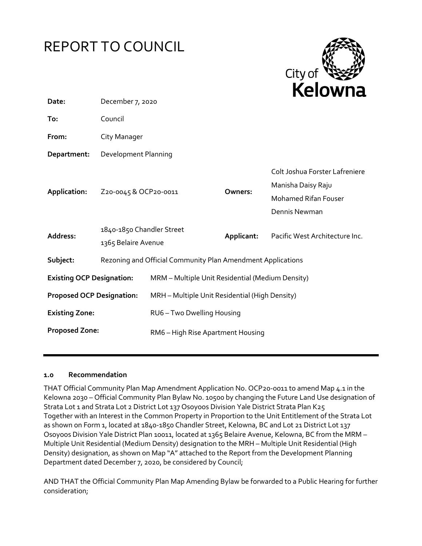



| December 7, 2020                                            |                                                  |                       |                                                                                                      |
|-------------------------------------------------------------|--------------------------------------------------|-----------------------|------------------------------------------------------------------------------------------------------|
| Council                                                     |                                                  |                       |                                                                                                      |
| City Manager                                                |                                                  |                       |                                                                                                      |
| <b>Development Planning</b>                                 |                                                  |                       |                                                                                                      |
|                                                             |                                                  | Owners:               | Colt Joshua Forster Lafreniere<br>Manisha Daisy Raju<br><b>Mohamed Rifan Fouser</b><br>Dennis Newman |
| 1840-1850 Chandler Street<br>1365 Belaire Avenue            |                                                  | Applicant:            | Pacific West Architecture Inc.                                                                       |
| Rezoning and Official Community Plan Amendment Applications |                                                  |                       |                                                                                                      |
| <b>Existing OCP Designation:</b>                            | MRM - Multiple Unit Residential (Medium Density) |                       |                                                                                                      |
| <b>Proposed OCP Designation:</b>                            | MRH - Multiple Unit Residential (High Density)   |                       |                                                                                                      |
|                                                             | RU6 - Two Dwelling Housing                       |                       |                                                                                                      |
| <b>Proposed Zone:</b>                                       | RM6 - High Rise Apartment Housing                |                       |                                                                                                      |
|                                                             |                                                  | Z20-0045 & OCP20-0011 |                                                                                                      |

#### **1.0 Recommendation**

THAT Official Community Plan Map Amendment Application No. OCP20-0011 to amend Map 4.1 in the Kelowna 2030 – Official Community Plan Bylaw No. 10500 by changing the Future Land Use designation of Strata Lot 1 and Strata Lot 2 District Lot 137 Osoyoos Division Yale District Strata Plan K25 Together with an Interest in the Common Property in Proportion to the Unit Entitlement of the Strata Lot as shown on Form 1, located at 1840-1850 Chandler Street, Kelowna, BC and Lot 21 District Lot 137 Osoyoos Division Yale District Plan 10011, located at 1365 Belaire Avenue, Kelowna, BC from the MRM – Multiple Unit Residential (Medium Density) designation to the MRH – Multiple Unit Residential (High Density) designation, as shown on Map "A" attached to the Report from the Development Planning Department dated December 7, 2020, be considered by Council;

AND THAT the Official Community Plan Map Amending Bylaw be forwarded to a Public Hearing for further consideration;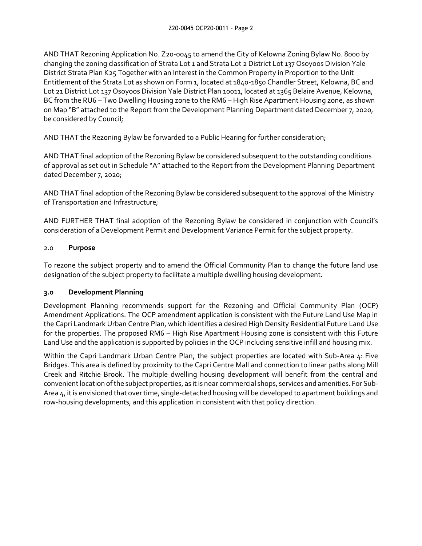AND THAT Rezoning Application No. Z20-0045 to amend the City of Kelowna Zoning Bylaw No. 8000 by changing the zoning classification of Strata Lot 1 and Strata Lot 2 District Lot 137 Osoyoos Division Yale District Strata Plan K25 Together with an Interest in the Common Property in Proportion to the Unit Entitlement of the Strata Lot as shown on Form 1, located at 1840-1850 Chandler Street, Kelowna, BC and Lot 21 District Lot 137 Osoyoos Division Yale District Plan 10011, located at 1365 Belaire Avenue, Kelowna, BC from the RU6 – Two Dwelling Housing zone to the RM6 – High Rise Apartment Housing zone, as shown on Map "B" attached to the Report from the Development Planning Department dated December 7, 2020, be considered by Council;

AND THAT the Rezoning Bylaw be forwarded to a Public Hearing for further consideration;

AND THAT final adoption of the Rezoning Bylaw be considered subsequent to the outstanding conditions of approval as set out in Schedule "A" attached to the Report from the Development Planning Department dated December 7, 2020;

AND THAT final adoption of the Rezoning Bylaw be considered subsequent to the approval of the Ministry of Transportation and Infrastructure;

AND FURTHER THAT final adoption of the Rezoning Bylaw be considered in conjunction with Council's consideration of a Development Permit and Development Variance Permit for the subject property.

### 2.0 **Purpose**

To rezone the subject property and to amend the Official Community Plan to change the future land use designation of the subject property to facilitate a multiple dwelling housing development.

## **3.0 Development Planning**

Development Planning recommends support for the Rezoning and Official Community Plan (OCP) Amendment Applications. The OCP amendment application is consistent with the Future Land Use Map in the Capri Landmark Urban Centre Plan, which identifies a desired High Density Residential Future Land Use for the properties. The proposed RM6 – High Rise Apartment Housing zone is consistent with this Future Land Use and the application is supported by policies in the OCP including sensitive infill and housing mix.

Within the Capri Landmark Urban Centre Plan, the subject properties are located with Sub-Area 4: Five Bridges. This area is defined by proximity to the Capri Centre Mall and connection to linear paths along Mill Creek and Ritchie Brook. The multiple dwelling housing development will benefit from the central and convenient location of the subject properties, as it is near commercial shops, services and amenities. For Sub-Area 4, it is envisioned that over time, single-detached housing will be developed to apartment buildings and row-housing developments, and this application in consistent with that policy direction.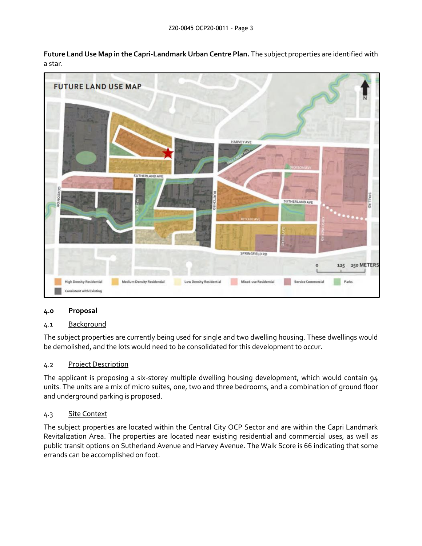**Future Land Use Map in the Capri-Landmark Urban Centre Plan.** The subject properties are identified with a star.



## **4.0 Proposal**

## 4.1 Background

The subject properties are currently being used for single and two dwelling housing. These dwellings would be demolished, and the lots would need to be consolidated for this development to occur.

## 4.2 Project Description

The applicant is proposing a six-storey multiple dwelling housing development, which would contain 94 units. The units are a mix of micro suites, one, two and three bedrooms, and a combination of ground floor and underground parking is proposed.

## 4.3 Site Context

The subject properties are located within the Central City OCP Sector and are within the Capri Landmark Revitalization Area. The properties are located near existing residential and commercial uses, as well as public transit options on Sutherland Avenue and Harvey Avenue. The Walk Score is 66 indicating that some errands can be accomplished on foot.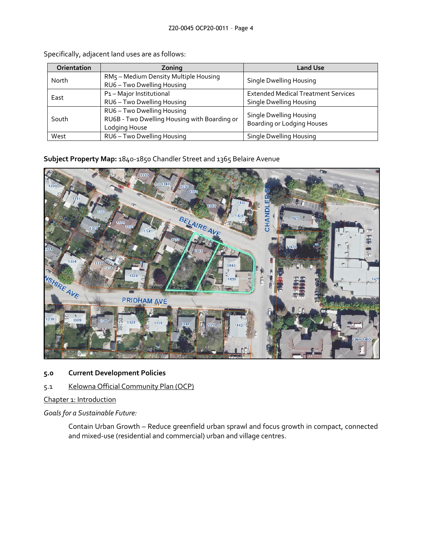| Orientation | Zoning                                                                                      | <b>Land Use</b>                                                              |
|-------------|---------------------------------------------------------------------------------------------|------------------------------------------------------------------------------|
| North       | RM5 - Medium Density Multiple Housing<br>RU6 - Two Dwelling Housing                         | Single Dwelling Housing                                                      |
| East        | P1-Major Institutional<br>RU6 - Two Dwelling Housing                                        | <b>Extended Medical Treatment Services</b><br><b>Single Dwelling Housing</b> |
| South       | RU6 - Two Dwelling Housing<br>RU6B - Two Dwelling Housing with Boarding or<br>Lodging House | <b>Single Dwelling Housing</b><br><b>Boarding or Lodging Houses</b>          |
| West        | RU6 - Two Dwelling Housing                                                                  | Single Dwelling Housing                                                      |

Specifically, adjacent land uses are as follows:

**Subject Property Map:** 1840-1850 Chandler Street and 1365 Belaire Avenue



**5.0 Current Development Policies** 

## 5.1 Kelowna Official Community Plan (OCP)

Chapter 1: Introduction

*Goals for a Sustainable Future:*

Contain Urban Growth – Reduce greenfield urban sprawl and focus growth in compact, connected and mixed-use (residential and commercial) urban and village centres.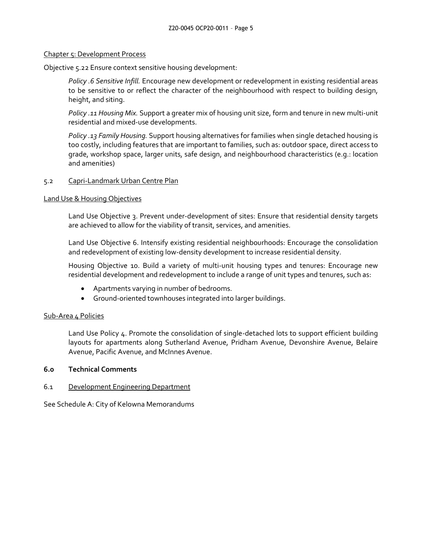#### Chapter 5: Development Process

Objective 5.22 Ensure context sensitive housing development:

*Policy .6 Sensitive Infill.* Encourage new development or redevelopment in existing residential areas to be sensitive to or reflect the character of the neighbourhood with respect to building design, height, and siting.

*Policy .11 Housing Mix.* Support a greater mix of housing unit size, form and tenure in new multi-unit residential and mixed-use developments.

*Policy .13 Family Housing.* Support housing alternatives for families when single detached housing is too costly, including features that are important to families, such as: outdoor space, direct access to grade, workshop space, larger units, safe design, and neighbourhood characteristics (e.g.: location and amenities)

#### 5.2 Capri-Landmark Urban Centre Plan

#### Land Use & Housing Objectives

Land Use Objective 3. Prevent under-development of sites: Ensure that residential density targets are achieved to allow for the viability of transit, services, and amenities.

Land Use Objective 6. Intensify existing residential neighbourhoods: Encourage the consolidation and redevelopment of existing low-density development to increase residential density.

Housing Objective 10. Build a variety of multi-unit housing types and tenures: Encourage new residential development and redevelopment to include a range of unit types and tenures, such as:

- Apartments varying in number of bedrooms.
- Ground-oriented townhouses integrated into larger buildings.

#### Sub-Area 4 Policies

Land Use Policy 4. Promote the consolidation of single-detached lots to support efficient building layouts for apartments along Sutherland Avenue, Pridham Avenue, Devonshire Avenue, Belaire Avenue, Pacific Avenue, and McInnes Avenue.

#### **6.0 Technical Comments**

#### 6.1 Development Engineering Department

See Schedule A: City of Kelowna Memorandums